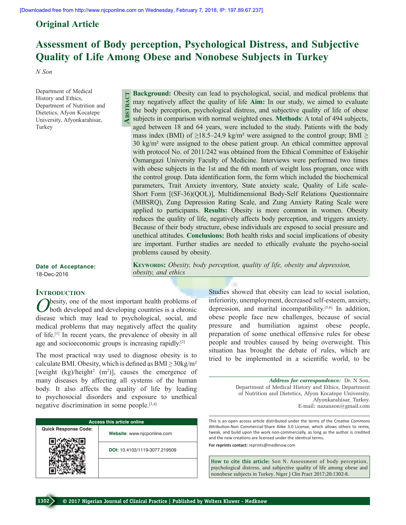**Abstract**

## **Original Article**

# **Assessment of Body perception, Psychological Distress, and Subjective Quality of Life Among Obese and Nonobese Subjects in Turkey**

*N Son*

Department of Medical History and Ethics, Department of Nutrition and Dietetics, Afyon Kocatepe University, Afyonkarahisar, Turkey

**Background:** Obesity can lead to psychological, social, and medical problems that may negatively affect the quality of life **Aim:** In our study, we aimed to evaluate the body perception, psychological distress, and subjective quality of life of obese subjects in comparison with normal weighted ones. **Methods**: A total of 494 subjects, aged between 18 and 64 years, were included to the study. Patients with the body mass index (BMI) of  $\geq$ 18.5–24.9 kg/m<sup>2</sup> were assigned to the control group; BMI  $\geq$ 30 kg/m² were assigned to the obese patient group. An ethical committee approval with protocol No. of 2011/242 was obtained from the Ethical Committee of Eskisehir Osmangazi University Faculty of Medicine. Interviews were performed two times with obese subjects in the 1st and the 6th month of weight loss program, once with the control group. Data identification form, the form which included the biochemical parameters, Trait Anxiety inventory, State anxiety scale, Quality of Life scale-Short Form [(SF-36)(QOL)], Multidimensional Body-Self Relations Questionnaire (MBSRQ), Zung Depression Rating Scale, and Zung Anxiety Rating Scale were applied to participants. **Results:** Obesity is more common in women. Obesity reduces the quality of life, negatively affects body perception, and triggers anxiety. Because of their body structure, obese individuals are exposed to social pressure and unethical attitudes. **Conclusions:** Both health risks and social implications of obesity are important. Further studies are needed to ethically evaluate the psycho-social problems caused by obesity.

**KEYWORDS:** *Obesity, body perception, quality of life, obesity and depression,* 

**Date of Acceptance:** 18-Dec-2016

#### **INTRODUCTION**

**O**besity, one of the most important health problems of both developed and developing countries is a chronic disease which may lead to psychological, social, and medical problems that may negatively affect the quality of life.[1] In recent years, the prevalence of obesity in all age and socioeconomic groups is increasing rapidly.[2]

The most practical way used to diagnose obesity is to calculate BMI. Obesity, which is defined as BMI $\geq$  30kg/m<sup>2</sup> [weight  $(kg)/height<sup>2</sup>$  (m<sup>2</sup>)], causes the emergence of many diseases by affecting all systems of the human body. It also affects the quality of life by leading to psychosocial disorders and exposure to unethical negative discrimination in some people.[3,4]

| <b>Access this article online</b> |                               |  |  |  |  |  |  |
|-----------------------------------|-------------------------------|--|--|--|--|--|--|
| <b>Quick Response Code:</b>       | Website: www.njcponline.com   |  |  |  |  |  |  |
|                                   | DOI: 10.4103/1119-3077.219509 |  |  |  |  |  |  |
|                                   |                               |  |  |  |  |  |  |

Studies showed that obesity can lead to social isolation, inferiority, unemployment, decreased self-esteem, anxiety, depression, and marital incompatibility.[5,6] In addition, obese people face new challenges, because of social pressure and humiliation against obese people, preparation of some unethical offensive rules for obese people and troubles caused by being overweight. This situation has brought the debate of rules, which are tried to be implemented in a scientific world, to be

> *Address for correspondence:* Dr. N Son, Department of Medical History and Ethics, Department of Nutrition and Dietetics, Afyon Kocatepe University, Afyonkarahisar, Turkey. E-mail: nazanson@gmail.com

This is an open access article distributed under the terms of the Creative Commons Attribution-Non Commercial-Share Alike 3.0 License, which allows others to remix, tweak, and build upon the work non-commercially, as long as the author is credited and the new creations are licensed under the identical terms.

**For reprints contact:** reprints@medknow.com

**How to cite this article:** Son N. Assessment of body perception, psychological distress, and subjective quality of life among obese and nonobese subjects in Turkey. Niger J Clin Pract 2017;20:1302-8.

*obesity, and ethics*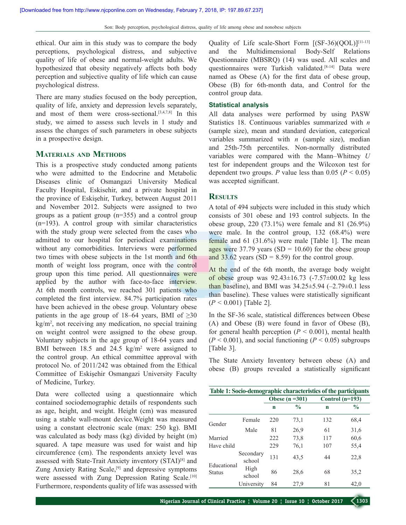ethical. Our aim in this study was to compare the body perceptions, psychological distress, and subjective quality of life of obese and normal-weight adults. We hypothesized that obesity negatively affects both body perception and subjective quality of life which can cause psychological distress.

There are many studies focused on the body perception, quality of life, anxiety and depression levels separately, and most of them were cross-sectional. $[3,4,7,8]$  In this study, we aimed to assess such levels in 1 study and assess the changes of such parameters in obese subjects in a prospective design.

### **Materials and Methods**

This is a prospective study conducted among patients who were admitted to the Endocrine and Metabolic Diseases clinic of Osmangazi University Medical Faculty Hospital, Eskisehir, and a private hospital in the province of Eskişehir, Turkey, between August 2011 and November 2012. Subjects were assigned to two groups as a patient group (n=355) and a control group (n=193). A control group with similar characteristics with the study group were selected from the cases who admitted to our hospital for periodical examinations without any comorbidities. Interviews were performed two times with obese subjects in the 1st month and 6th month of weight loss program, once with the control group upon this time period. All questionnaires were applied by the author with face-to-face interview. At 6th month controls, we reached 301 patients who completed the first interview. 84.7% participation rates have been achieved in the obese group. Voluntary obese patients in the age group of 18–64 years, BMI of  $\geq 30$ kg/m<sup>2</sup> , not receiving any medication, no special training on weight control were assigned to the obese group. Voluntary subjects in the age group of 18-64 years and BMI between 18.5 and 24.5  $\text{kg/m}^2$  were assigned to the control group. An ethical committee approval with protocol No. of 2011/242 was obtained from the Ethical Committee of Eskişehir Osmangazi University Faculty of Medicine, Turkey.

Data were collected using a questionnaire which contained sociodemographic details of respondents such as age, height, and weight. Height (cm) was measured using a stable wall-mount device.Weight was measured using a constant electronic scale (max: 250 kg). BMI was calculated as body mass (kg) divided by height (m) squared. A tape measure was used for waist and hip circumference (cm). The respondents anxiety level was assessed with State-Trait Anxiety inventory (STAI)[8] and Zung Anxiety Rating Scale,<sup>[9]</sup> and depressive symptoms were assessed with Zung Depression Rating Scale.<sup>[10]</sup> Furthermore, respondents quality of life was assessed with

Quality of Life scale-Short Form  $[(SF-36)(QOL)]^{[11-13]}$ and the Multidimensional Body-Self Relations Questionnaire (MBSRQ) (14) was used. All scales and questionnaires were Turkish validated.[8-14] Data were named as Obese (A) for the first data of obese group, Obese (B) for 6th-month data, and Control for the control group data.

#### **Statistical analysis**

All data analyses were performed by using PASW Statistics 18. Continuous variables summarized with *n* (sample size), mean and standard deviation, categorical variables summarized with *n* (sample size), median and 25th-75th percentiles. Non-normally distributed variables were compared with the Mann–Whitney *U* test for independent groups and the Wilcoxon test for dependent two groups. *P* value less than 0.05 ( $P < 0.05$ ) was accepted significant.

## **Results**

A total of 494 subjects were included in this study which consists of 301 obese and 193 control subjects. In the obese group, 220 (73.1%) were female and 81 (26.9%) were male. In the control group, 132 (68.4%) were female and 61 (31.6%) were male [Table 1]. The mean ages were 37.79 years  $(SD = 10.60)$  for the obese group and 33.62 years  $(SD = 8.59)$  for the control group.

At the end of the 6th month, the average body weight of obese group was 92.43±16.73 (-7.57±00.02 kg less than baseline), and BMI was  $34.25 \pm 5.94$  ( $-2.79 \pm 0.1$  less than baseline). These values were statistically significant (*P* < 0.001) [Table 2].

In the SF-36 scale, statistical differences between Obese (A) and Obese (B) were found in favor of Obese (B), for general health perception  $(P < 0.001)$ , mental health  $(P < 0.001)$ , and social functioning  $(P < 0.05)$  subgroups [Table 3].

The State Anxiety Inventory between obese (A) and obese (B) groups revealed a statistically significant

| Table 1: Socio-demographic characteristics of the participants |                     |             |                 |                   |               |  |  |  |
|----------------------------------------------------------------|---------------------|-------------|-----------------|-------------------|---------------|--|--|--|
|                                                                |                     |             | Obese $(n=301)$ | Control $(n=193)$ |               |  |  |  |
|                                                                |                     | $\mathbf n$ | $\frac{0}{0}$   | n                 | $\frac{6}{9}$ |  |  |  |
| Gender                                                         | Female              | 220         | 73,1            | 132               | 68,4          |  |  |  |
|                                                                | Male                | 81          | 26,9            | 61                | 31,6          |  |  |  |
| Married                                                        |                     | 222         | 73,8            | 117               | 60,6          |  |  |  |
| Have child                                                     |                     | 229         | 76,1            | 107               | 55,4          |  |  |  |
| Educational<br><b>Status</b>                                   | Secondary<br>school | 131         | 43.5            | 44                | 22,8          |  |  |  |
|                                                                | High<br>school      | 86          | 28,6            | 68                | 35,2          |  |  |  |
|                                                                | University          | 84          | 27.9            | 81                | 42,0          |  |  |  |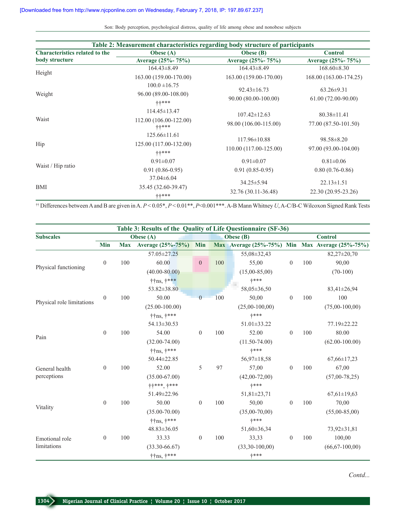| Table 2: Measurement characteristics regarding body structure of participants |                                 |                        |                                           |  |  |  |
|-------------------------------------------------------------------------------|---------------------------------|------------------------|-------------------------------------------|--|--|--|
| <b>Characteristics related to the</b>                                         | <b>Obese</b> (A)                | Obese (B)              | <b>Control</b>                            |  |  |  |
| body structure                                                                | Average (25%-75%)               | Average (25%-75%)      | Average (25%-75%)                         |  |  |  |
|                                                                               | $164.43\pm8.49$                 | $164.43\pm8.49$        | $168.60 \pm 8.30$                         |  |  |  |
| Height                                                                        | 163.00 (159.00-170.00)          | 163.00 (159.00-170.00) | 168.00 (163.00-174.25)                    |  |  |  |
|                                                                               | $100.0 \pm 16.75$               |                        |                                           |  |  |  |
| Weight                                                                        | 96.00 (89.00-108.00)            | $92.43 \pm 16.73$      | $63.26 \pm 9.31$                          |  |  |  |
|                                                                               | $++***$                         | 90.00 (80.00-100.00)   | 61.00 (72.00-90.00)                       |  |  |  |
|                                                                               | $114.45 \pm 13.47$              | $107.42 \pm 12.63$     | $80.38 \pm 11.41$<br>77.00 (87.50-101.50) |  |  |  |
| Waist                                                                         | 112.00 (106.00-122.00)<br>++*** | 98.00 (106.00-115.00)  |                                           |  |  |  |
|                                                                               | $125.66 \pm 11.61$              | $117.96 \pm 10.88$     | $98.58 \pm 8.20$                          |  |  |  |
| Hip                                                                           | 125.00 (117.00-132.00)          |                        |                                           |  |  |  |
|                                                                               | $++***$                         | 110.00 (117.00-125.00) | 97.00 (93.00-104.00)                      |  |  |  |
|                                                                               | $0.91 \pm 0.07$                 | $0.91 \pm 0.07$        | $0.81 \pm 0.06$                           |  |  |  |
| Waist / Hip ratio                                                             | $0.91(0.86-0.95)$               | $0.91(0.85-0.95)$      | $0.80(0.76-0.86)$                         |  |  |  |
|                                                                               | $37.04 \pm 6.04$                |                        |                                           |  |  |  |
| <b>BMI</b>                                                                    | 35.45 (32.60-39.47)             | $34.25 \pm 5.94$       | $22.13 \pm 1.51$                          |  |  |  |
|                                                                               | ++***                           | 32.76 (30.11-36.48)    | 22.30 (20.95-23.26)                       |  |  |  |

†† Differences between A and B are given in A. *P* < 0.05\*, *P* < 0.01\*\*, *P*<0.001\*\*\*.A-B MannWhitney *U*, A-C/B-C Wilcoxon Signed Rank Tests

|                           |                  |            | Table 3: Results of the Quality of Life Questionnaire (SF-36) |                |           |                   |                  |                |                                                 |  |
|---------------------------|------------------|------------|---------------------------------------------------------------|----------------|-----------|-------------------|------------------|----------------|-------------------------------------------------|--|
| <b>Subscales</b>          |                  |            | Obese $(A)$                                                   |                | Obese (B) |                   |                  | <b>Control</b> |                                                 |  |
|                           | Min              | <b>Max</b> | Average (25%-75%)                                             | <b>Min</b>     |           |                   |                  |                | Max Average (25%-75%) Min Max Average (25%-75%) |  |
|                           |                  |            | 57.05 ± 27.25                                                 |                |           | 55,08±32,43       |                  |                | 82,27±20,70                                     |  |
| Physical functioning      | $\boldsymbol{0}$ | 100        | 60.00                                                         | $\mathbf{0}$   | 100       | 55,00             | $\mathbf{0}$     | 100            | 90,00                                           |  |
|                           |                  |            | $(40.00 - 80.00)$                                             |                |           | $(15,00-85,00)$   |                  |                | $(70-100)$                                      |  |
|                           |                  |            | $\dagger$ ins, $\dagger$ ***                                  |                |           | $+***$            |                  |                |                                                 |  |
|                           |                  |            | 53.82±38.80                                                   |                |           | 58,05±36,50       |                  |                | 83,41±26,94                                     |  |
|                           | $\boldsymbol{0}$ | 100        | 50.00                                                         | $\theta$       | 100       | 50,00             | $\mathbf{0}$     | 100            | 100                                             |  |
| Physical role limitations |                  |            | $(25.00 - 100.00)$                                            |                |           | $(25,00-100,00)$  |                  |                | $(75,00-100,00)$                                |  |
|                           |                  |            | $\dagger$ ins, $\dagger$ ***                                  |                |           | +***              |                  |                |                                                 |  |
|                           |                  |            | 54.13 ± 30.53                                                 |                |           | 51.01±33.22       |                  |                | 77.19 ± 22.22                                   |  |
| Pain                      | $\theta$         | 100        | 54.00                                                         | $\overline{0}$ | 100       | 52.00             | $\theta$         | 100            | 80.00                                           |  |
|                           |                  |            | $(32.00 - 74.00)$                                             |                |           | $(11.50 - 74.00)$ |                  |                | $(62.00 - 100.00)$                              |  |
|                           |                  |            | $\dagger$ ins, $\dagger$ ***                                  |                |           | $+***$            |                  |                |                                                 |  |
|                           |                  |            | 50.44±22.85                                                   |                |           | $56,97 \pm 18,58$ |                  |                | $67,66 \pm 17,23$                               |  |
| General health            | $\boldsymbol{0}$ | 100        | 52.00                                                         | 5              | 97        | 57,00             | $\theta$         | 100            | 67,00                                           |  |
| perceptions               |                  |            | $(35.00 - 67.00)$                                             |                |           | $(42,00-72,00)$   |                  |                | $(57,00-78,25)$                                 |  |
|                           |                  |            | $++***$ , $+***$                                              |                |           | $+***$            |                  |                |                                                 |  |
|                           |                  |            | 51.49±22.96                                                   |                |           | $51,81 \pm 23,71$ |                  |                | $67,61 \pm 19,63$                               |  |
| Vitality                  | $\boldsymbol{0}$ | 100        | 50.00                                                         | $\overline{0}$ | 100       | 50,00             | $\theta$         | 100            | 70,00                                           |  |
|                           |                  |            | $(35.00 - 70.00)$                                             |                |           | $(35,00-70,00)$   |                  |                | $(55,00-85,00)$                                 |  |
|                           |                  |            | $\dagger$ ins, $\dagger$ ***                                  |                |           | +***              |                  |                |                                                 |  |
|                           |                  |            | 48.83±36.05                                                   |                |           | 51,60±36,34       |                  |                | 73,92±31,81                                     |  |
| Emotional role            | $\boldsymbol{0}$ | 100        | 33.33                                                         | $\mathbf{0}$   | 100       | 33,33             | $\boldsymbol{0}$ | 100            | 100,00                                          |  |
| limitations               |                  |            | $(33.30 - 66.67)$                                             |                |           | $(33,30-100,00)$  |                  |                | $(66, 67 - 100, 00)$                            |  |
|                           |                  |            | $\dagger$ ins, $\dagger$ ***                                  |                |           | +***              |                  |                |                                                 |  |

*Contd...*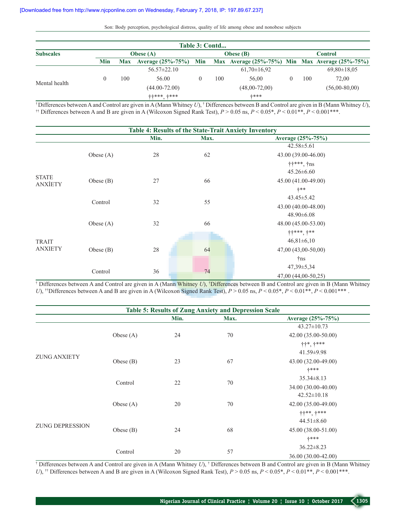| Table 3: Contd   |     |                  |                                                                           |                  |     |                 |                |     |                   |
|------------------|-----|------------------|---------------------------------------------------------------------------|------------------|-----|-----------------|----------------|-----|-------------------|
| <b>Subscales</b> |     | <b>Obese</b> (A) |                                                                           | <b>Obese</b> (B) |     |                 | <b>Control</b> |     |                   |
|                  | Min |                  | Max Average (25%-75%) Min Max Average (25%-75%) Min Max Average (25%-75%) |                  |     |                 |                |     |                   |
|                  |     |                  | $56.57 \pm 22.10$                                                         |                  |     | $61,70\pm16,92$ |                |     | $69,80 \pm 18,05$ |
| Mental health    |     | 100              | 56.00                                                                     |                  | 100 | 56.00           |                | 100 | 72.00             |
|                  |     |                  | $(44.00 - 72.00)$                                                         |                  |     | $(48,00-72,00)$ |                |     | $(56,00-80,00)$   |
|                  |     |                  | ++*** +***                                                                |                  |     | ****            |                |     |                   |

† Differences between A and Control are given in A (Mann Whitney *U*), † Differences between B and Control are given in B (Mann Whitney *U*), <sup>††</sup> Differences between A and B are given in A (Wilcoxon Signed Rank Test),  $P > 0.05$  ns,  $P < 0.05$ \*,  $P < 0.01$ \*\*,  $P < 0.001$ \*\*\*.

| Table 4: Results of the State-Trait Anxiety Inventory |             |      |      |                     |  |  |  |  |  |
|-------------------------------------------------------|-------------|------|------|---------------------|--|--|--|--|--|
|                                                       |             | Min. | Max. | Average (25%-75%)   |  |  |  |  |  |
|                                                       |             |      |      | $42.58 \pm 5.61$    |  |  |  |  |  |
|                                                       | Obese $(A)$ | 28   | 62   | 43.00 (39.00-46.00) |  |  |  |  |  |
|                                                       |             |      |      | ††***, †ns          |  |  |  |  |  |
| <b>STATE</b><br><b>ANXIETY</b>                        |             |      |      | $45.26 \pm 6.60$    |  |  |  |  |  |
|                                                       | Obese (B)   | 27   | 66   | 45.00 (41.00-49.00) |  |  |  |  |  |
|                                                       |             |      |      | $+ * *$             |  |  |  |  |  |
|                                                       |             |      |      | $43.45 \pm 5.42$    |  |  |  |  |  |
|                                                       | Control     | 32   | 55   | 43.00 (40.00-48.00) |  |  |  |  |  |
|                                                       |             |      |      | $48.90\pm6.08$      |  |  |  |  |  |
|                                                       | Obese $(A)$ | 32   | 66   | 48.00 (45.00-53.00) |  |  |  |  |  |
|                                                       |             |      |      | $++***$ , $+**$     |  |  |  |  |  |
| <b>TRAIT</b><br><b>ANXIETY</b>                        |             |      |      | $46,81\pm6,10$      |  |  |  |  |  |
|                                                       | Obese $(B)$ | 28   | 64   | 47,00 (43,00-50,00) |  |  |  |  |  |
|                                                       |             |      |      | †ns                 |  |  |  |  |  |
|                                                       |             |      |      | $47,39 \pm 5,34$    |  |  |  |  |  |
|                                                       | Control     | 36   | 74   | 47,00 (44,00-50,25) |  |  |  |  |  |

<sup>†</sup> Differences between A and Control are given in A (Mann Whitney *U*), †Differences between B and Control are given in B (Mann Whitney *U*), <sup>††</sup>Differences between A and B are given in A (Wilcoxon Signed Rank Test),  $P > 0.05$  ns,  $P < 0.05$ \*,  $P < 0.01$ \*\*,  $P < 0.001$ \*\*\*.

|                        |             |      | <b>Table 5: Results of Zung Anxiety and Depression Scale</b> |                         |
|------------------------|-------------|------|--------------------------------------------------------------|-------------------------|
|                        |             | Min. | Max.                                                         | Average (25%-75%)       |
|                        |             |      |                                                              | $43.27 \pm 10.73$       |
|                        | Obese $(A)$ | 24   | 70                                                           | 42.00 (35.00-50.00)     |
|                        |             |      |                                                              | $+ +$ *, $+$ ***        |
| <b>ZUNG ANXIETY</b>    |             |      |                                                              | $41.59 \pm 9.98$        |
|                        | Obese $(B)$ | 23   | 67                                                           | 43.00 (32.00-49.00)     |
|                        |             |      |                                                              | +***                    |
|                        | Control     | 22   | 70                                                           | $35.34 \pm 8.13$        |
|                        |             |      |                                                              | 34.00 (30.00-40.00)     |
|                        |             |      |                                                              | $42.52 \pm 10.18$       |
|                        | Obese $(A)$ | 20   | 70                                                           | 42.00 (35.00-49.00)     |
|                        |             |      |                                                              | $+ + * *$ , $+ * * * *$ |
| <b>ZUNG DEPRESSION</b> |             |      |                                                              | $44.51 \pm 8.60$        |
|                        | Obese $(B)$ | 24   | 68                                                           | 45.00 (38.00-51.00)     |
|                        |             |      |                                                              | +***                    |
|                        |             |      |                                                              | $36.22 \pm 8.23$        |
|                        | Control     | 20   | 57                                                           | 36.00 (30.00-42.00)     |

<sup>†</sup> Differences between A and Control are given in A (Mann Whitney *U*), <sup>†</sup> Differences between B and Control are given in B (Mann Whitney *U*), <sup>\*†</sup> Differences between A and B are given in A (Wilcoxon Signed Rank Test), *P* > 0.05 ns, *P* < 0.05\*, *P* < 0.01\*\*, *P* < 0.001\*\*\*.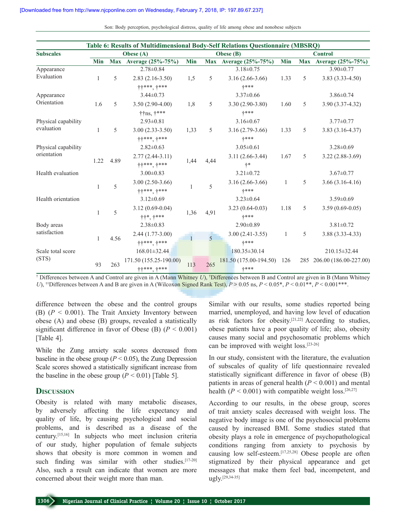| Table 6: Results of Multidimensional Body-Self Relations Questionnaire (MBSRQ) |      |      |                              |      |                |                         |      |   |                            |
|--------------------------------------------------------------------------------|------|------|------------------------------|------|----------------|-------------------------|------|---|----------------------------|
| <b>Subscales</b>                                                               |      |      | Obese $(A)$                  |      |                | Obese (B)               |      |   | <b>Control</b>             |
|                                                                                | Min  |      | Max Average (25%-75%)        | Min  |                | Max Average (25%-75%)   | Min  |   | Max Average (25%-75%)      |
| Appearance                                                                     |      |      | $2.78 \pm 0.84$              |      |                | $3.18 \pm 0.75$         |      |   | $3.90 \pm 0.77$            |
| Evaluation                                                                     | 1    | 5    | $2.83(2.16-3.50)$            | 1,5  | 5              | $3.16(2.66 - 3.66)$     | 1.33 | 5 | $3.83(3.33 - 4.50)$        |
|                                                                                |      |      | $++***$ , $+***$             |      |                | $+***$                  |      |   |                            |
| Appearance                                                                     |      |      | $3.44 \pm 0.73$              |      |                | $3.37 \pm 0.66$         |      |   | $3.86 \pm 0.74$            |
| Orientation                                                                    | 1.6  | 5    | $3.50(2.90-4.00)$            | 1,8  | 5              | $3.30(2.90-3.80)$       | 1.60 | 5 | 3.90 (3.37-4.32)           |
|                                                                                |      |      | $\dagger$ ins, $\dagger$ *** |      |                | $+***$                  |      |   |                            |
| Physical capability                                                            |      |      | $2.93 \pm 0.81$              |      |                | $3.16 \pm 0.67$         |      |   | $3.77 \pm 0.77$            |
| evaluation                                                                     | 1    | 5    | $3.00(2.33-3.50)$            | 1,33 | 5              | $3.16(2.79-3.66)$       | 1.33 | 5 | $3.83(3.16-4.37)$          |
|                                                                                |      |      | $++***$ , +***               |      |                | $+***$                  |      |   |                            |
| Physical capability                                                            |      |      | $2.82 \pm 0.63$              |      |                | $3.05 \pm 0.61$         |      |   | $3.28 \pm 0.69$            |
| orientation                                                                    |      |      | $2.77(2.44-3.11)$            |      |                | $3.11(2.66 - 3.44)$     | 1.67 | 5 | $3.22(2.88-3.69)$          |
|                                                                                | 1.22 | 4.89 | $++***$ , +***               | 1,44 | 4,44           | $+ *$                   |      |   |                            |
| Health evaluation                                                              |      |      | $3.00 \pm 0.83$              |      |                | $3.21 \pm 0.72$         |      |   | $3.67 \pm 0.77$            |
|                                                                                |      |      | $3.00(2.50-3.66)$            |      | 5              | $3.16(2.66-3.66)$       | 1    | 5 | $3.66(3.16-4.16)$          |
|                                                                                | 1    | 5    | $++***$ , $+***$             | 1    |                | +***                    |      |   |                            |
| Health orientation                                                             |      |      | $3.12 \pm 0.69$              |      |                | $3.23 \pm 0.64$         |      |   | $3.59 \pm 0.69$            |
|                                                                                |      |      | $3.12(0.69 - 0.04)$          |      |                | $3.23(0.64-0.03)$       | 1.18 | 5 | $3.59(0.69-0.05)$          |
|                                                                                | 1    | 5    | $\dagger$ +*, $\dagger$ ***  | 1,36 | 4,91           | +***                    |      |   |                            |
| Body areas                                                                     |      |      | $2.38 \pm 0.83$              |      |                | $2.90 \pm 0.89$         |      |   | $3.81 \pm 0.72$            |
| satisfaction                                                                   |      | 4.56 | $2.44(1.77-3.00)$            |      | $\overline{5}$ | $3.00(2.41-3.55)$       | 1    | 5 | 3.88 (3.33-4.33)           |
|                                                                                | 1    |      | $++***$ , $+***$             |      |                | +***                    |      |   |                            |
| Scale total score                                                              |      |      | $168.01 \pm 32.44$           |      |                | $180.35 \pm 30.14$      |      |   | 210.15 ± 32.44             |
| (STS)                                                                          |      |      | 171.50 (155.25-190.00)       |      |                | $181.50(175.00-194.50)$ | 126  |   | 285 206.00 (186.00-227.00) |
|                                                                                | 93   | 263  | $++***$ , $+***$             | 113  | 265            | +***                    |      |   |                            |

<sup>†</sup> Differences between A and Control are given in A (Mann Whitney *U*), <sup>†</sup>Differences between B and Control are given in B (Mann Whitney *U*), <sup>††</sup>Differences between A and B are given in A (Wilcoxon Signed Rank Test),  $P > 0.05$  ns,  $P < 0.05^*$ ,  $P < 0.01^{**}$ ,  $P < 0.001^{***}$ .

difference between the obese and the control groups (B) (*P* < 0.001). The Trait Anxiety Inventory between obese (A) and obese (B) groups, revealed a statistically significant difference in favor of Obese (B)  $(P < 0.001)$ [Table 4].

While the Zung anxiety scale scores decreased from baseline in the obese group ( $P < 0.05$ ), the Zung Depression Scale scores showed a statistically significant increase from the baseline in the obese group  $(P < 0.01)$  [Table 5].

#### **Discussion**

Obesity is related with many metabolic diseases, by adversely affecting the life expectancy and quality of life, by causing psychological and social problems, and is described as a disease of the century.[15,16] In subjects who meet inclusion criteria of our study, higher population of female subjects shows that obesity is more common in women and such finding was similar with other studies.<sup>[17-20]</sup> Also, such a result can indicate that women are more concerned about their weight more than man.

Similar with our results, some studies reported being married, unemployed, and having low level of education as risk factors for obesity.[21,22] According to studies, obese patients have a poor quality of life; also, obesity causes many social and psychosomatic problems which can be improved with weight loss.[23-26]

In our study, consistent with the literature, the evaluation of subscales of quality of life questionnaire revealed statistically significant difference in favor of obese (B) patients in areas of general health  $(P < 0.001)$  and mental health ( $P < 0.001$ ) with compatible weight loss.<sup>[26,27]</sup>

According to our results, in the obese group, scores of trait anxiety scales decreased with weight loss. The negative body image is one of the psychosocial problems caused by increased BMI. Some studies stated that obesity plays a role in emergence of psychopathological conditions ranging from anxiety to psychosis by causing low self-esteem.[17,25,28] Obese people are often stigmatized by their physical appearance and get messages that make them feel bad, incompetent, and ugly.[29,34-35]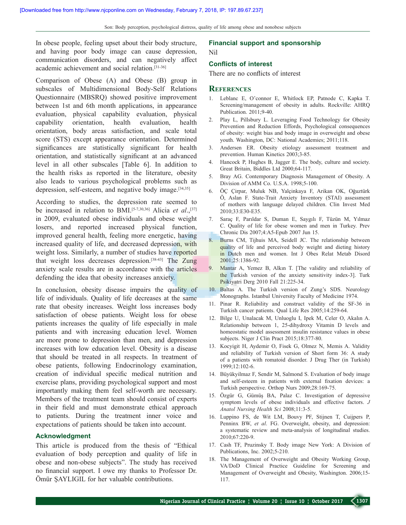In obese people, feeling upset about their body structure, and having poor body image can cause depression, communication disorders, and can negatively affect academic achievement and social relation.[31-36]

Comparison of Obese (A) and Obese (B) group in subscales of Multidimensional Body-Self Relations Questionnaire (MBSRQ) showed positive improvement between 1st and 6th month applications, in appearance evaluation, physical capability evaluation, physical capability orientation, health evaluation, health orientation, body areas satisfaction, and scale total score (STS) except appearance orientation. Determined significances are statistically significant for health orientation, and statistically significant at an advanced level in all other subscales [Table 6]. In addition to the health risks as reported in the literature, obesity also leads to various psychological problems such as depression, self-esteem, and negative body image.[34,35]

According to studies, the depression rate seemed to be increased in relation to BMI.<sup>[5-7,30,36]</sup> Alicia *et al.*,<sup>[37]</sup> in 2009, evaluated obese individuals and obese weight losers, and reported increased physical function, improved general health, feeling more energetic, having increased quality of life, and decreased depression, with weight loss. Similarly, a number of studies have reported that weight loss decreases depression.[38-43] The Zung anxiety scale results are in accordance with the articles defending the idea that obesity increases anxiety.

In conclusion, obesity disease impairs the quality of life of individuals. Quality of life decreases at the same rate that obesity increases. Weight loss increases body satisfaction of obese patients. Weight loss for obese patients increases the quality of life especially in male patients and with increasing education level. Women are more prone to depression than men, and depression increases with low education level. Obesity is a disease that should be treated in all respects. In treatment of obese patients, following Endocrinology examination, creation of individual specific medical nutrition and exercise plans, providing psychological support and most importantly making them feel self-worth are necessary. Members of the treatment team should consist of experts in their field and must demonstrate ethical approach to patients. During the treatment inner voice and expectations of patients should be taken into account.

#### **Acknowledgment**

This article is produced from the thesis of "Ethical evaluation of body perception and quality of life in obese and non-obese subjects". The study has received no financial support. I owe my thanks to Professor Dr. Ömür ŞAYLIGIL for her valuable contributions.

#### **Financial support and sponsorship**  Nil

#### **Conflicts of interest**

There are no conflicts of interest

#### **References**

- 1. Leblanc E, O'connor E, Whitlock EP, Patnode C, Kapka T. Screening/management of obesity in adults. Rockville: AHRQ Publication. 2011;9-40.
- 2. Play L, Pillsbury L. Leveraging Food Technology for Obesity Prevention and Reduction Effords, Psychological consequences of obesity: weight bias and body image in overweight and obese youth. Washington, DC: National Academies; 2011;118.
- 3. Andersen ER. Obesity etiology assessment treatment and prevention. Human Kinetics 2003;3-85.
- 4. Hancock P, Hughes B, Jagger E. The body, culture and society. Great Britain, Biddles Ltd 2000;64-117.
- 5. Bray AG. Contemporary Diagnosis Management of Obesity. A Division of AMM Co. U.S.A. 1998;5-100.
- 6. ÖÇ Çirpar, Muluk NB, Yalçinkaya F, Arikan OK, Oğuztürk Ö, Aslan F. State-Trait Anxiety Inventory (STAI) assessment of mothers with language delayed children. Clin Invest Med 2010;33:E30-E35.
- 7. Saraç F, Parıldar S, Duman E, Saygılı F, Tüzün M, Yılmaz C. Quality of life for obese women and men in Turkey. Prev Chronic Dis 2007;4:A5-Epub 2007 Jun 15.
- 8. Burns CM, Tijhuis MA, Seidell JC. The relationship between quality of life and perceived body weight and dieting history in Dutch men and women. Int J Obes Relat Metab Disord 2001;25:1386-92.
- 9. Mantar A, Yemez B, Alkın T. [The validity and reliability of the Turkish version of the anxiety sensitivity index-3]. Turk Psikiyatri Derg 2010 Fall 21:225-34.
- 10. Baltas A. The Turkish version of Zung's SDS. Neurology Monographs. Istanbul University Faculty of Medicine 1974.
- 11. Pinar R. Reliability and construct validity of the SF-36 in Turkish cancer patients. Qual Life Res 2005;14:259-64.
- 12. Bilge U, Unalacak M, Unluoglu I, Ipek M, Celer O, Akalın A. Relationship between 1, 25-dihydroxy Vitamin D levels and homeostatic model assessment insulin resistance values in obese subjects. Niger J Clin Pract 2015;18:377-80.
- 13. Kocyigit H, Aydemir O, Fisek G, Olmez N, Memis A. Validity and reliability of Turkish version of Short form 36: A study of a patients with romatoid disorder. J Drug Ther (in Turkish) 1999;12:102-6.
- 14. Büyükyilmaz F, Sendir M, Salmond S. Evaluation of body image and self-esteem in patients with external fixation devices: a Turkish perspective. Orthop Nurs 2009;28:169-75.
- 15. Özgür G, Gümüş BA, Palaz C. Investigation of depressive symptom levels of obese individuals and effective factors. *J Anatol Nursing Health Sci* 2008;11:3-5.
- 16. Luppino FS, de Wit LM, Bouvy PF, Stijnen T, Cuijpers P, Penninx BW, *et al*. FG. Overweight, obesity, and depression: a systematic review and meta-analysis of longitudinal studies. 2010;67:220-9.
- 17. Cash TF, Pruzinsky T. Body image New York: A Division of Publications, Inc. 2002;5-210.
- 18. The Management of Overweight and Obesity Working Group, VA/DoD Clinical Practice Guideline for Screening and Management of Overweight and Obesity, Washington. 2006;15- 117.